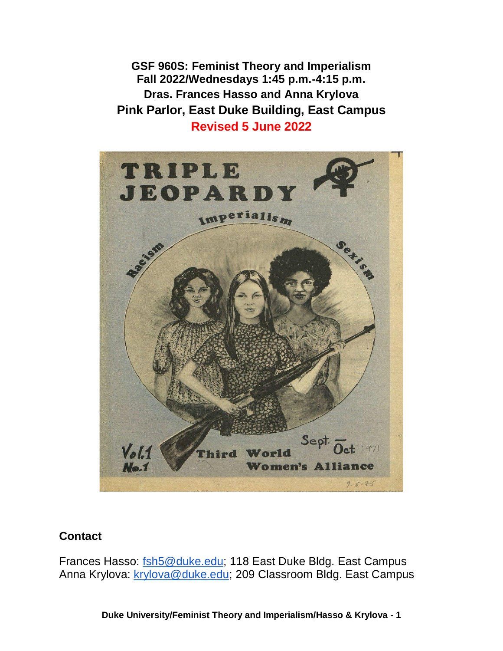**GSF 960S: Feminist Theory and Imperialism Fall 2022/Wednesdays 1:45 p.m.-4:15 p.m. Dras. Frances Hasso and Anna Krylova Pink Parlor, East Duke Building, East Campus Revised 5 June 2022**



#### **Contact**

Frances Hasso: [fsh5@duke.edu;](mailto:fsh5@duke.edu) 118 East Duke Bldg. East Campus Anna Krylova: [krylova@duke.edu;](mailto:krylova@duke.edu) 209 Classroom Bldg. East Campus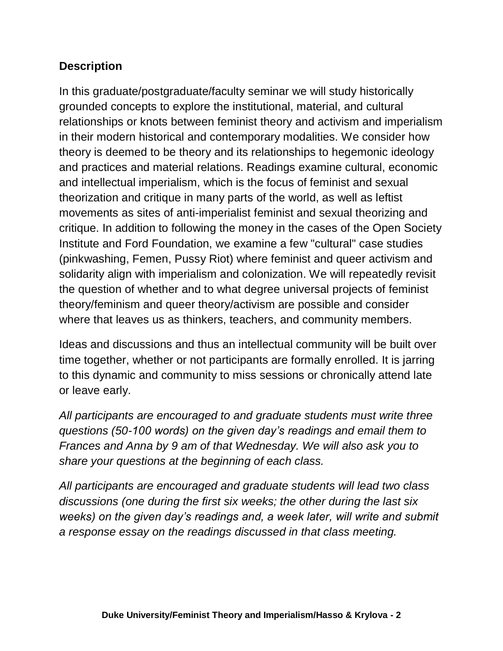## **Description**

In this graduate/postgraduate/faculty seminar we will study historically grounded concepts to explore the institutional, material, and cultural relationships or knots between feminist theory and activism and imperialism in their modern historical and contemporary modalities. We consider how theory is deemed to be theory and its relationships to hegemonic ideology and practices and material relations. Readings examine cultural, economic and intellectual imperialism, which is the focus of feminist and sexual theorization and critique in many parts of the world, as well as leftist movements as sites of anti-imperialist feminist and sexual theorizing and critique. In addition to following the money in the cases of the Open Society Institute and Ford Foundation, we examine a few "cultural" case studies (pinkwashing, Femen, Pussy Riot) where feminist and queer activism and solidarity align with imperialism and colonization. We will repeatedly revisit the question of whether and to what degree universal projects of feminist theory/feminism and queer theory/activism are possible and consider where that leaves us as thinkers, teachers, and community members.

Ideas and discussions and thus an intellectual community will be built over time together, whether or not participants are formally enrolled. It is jarring to this dynamic and community to miss sessions or chronically attend late or leave early.

*All participants are encouraged to and graduate students must write three questions (50-100 words) on the given day's readings and email them to Frances and Anna by 9 am of that Wednesday. We will also ask you to share your questions at the beginning of each class.*

*All participants are encouraged and graduate students will lead two class discussions (one during the first six weeks; the other during the last six weeks) on the given day's readings and, a week later, will write and submit a response essay on the readings discussed in that class meeting.*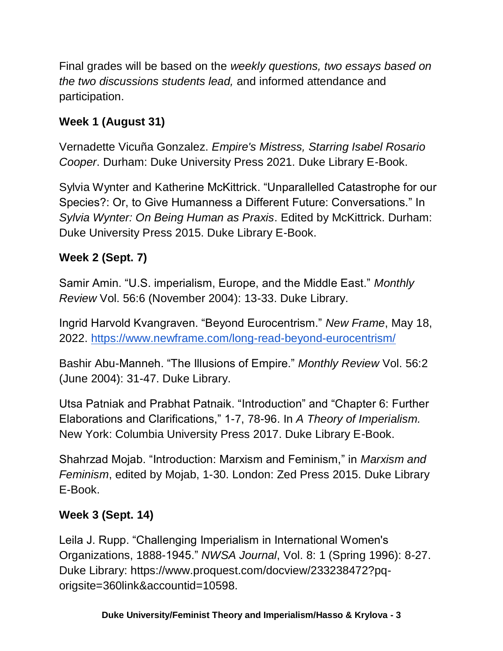Final grades will be based on the *weekly questions, two essays based on the two discussions students lead,* and informed attendance and participation.

# **Week 1 (August 31)**

Vernadette Vicuña Gonzalez. *Empire's Mistress, Starring Isabel Rosario Cooper*. Durham: Duke University Press 2021. Duke Library E-Book.

Sylvia Wynter and Katherine McKittrick. "Unparallelled Catastrophe for our Species?: Or, to Give Humanness a Different Future: Conversations." In *Sylvia Wynter: On Being Human as Praxis*. Edited by McKittrick. Durham: Duke University Press 2015. Duke Library E-Book.

# **Week 2 (Sept. 7)**

Samir Amin. "U.S. imperialism, Europe, and the Middle East." *Monthly Review* Vol. 56:6 (November 2004): 13-33. Duke Library.

Ingrid Harvold Kvangraven. "Beyond Eurocentrism." *New Frame*, May 18, 2022.<https://www.newframe.com/long-read-beyond-eurocentrism/>

Bashir Abu-Manneh. "The Illusions of Empire." *Monthly Review* Vol. 56:2 (June 2004): 31-47. Duke Library.

Utsa Patniak and Prabhat Patnaik. "Introduction" and "Chapter 6: Further Elaborations and Clarifications," 1-7, 78-96. In *A Theory of Imperialism.*  New York: Columbia University Press 2017. Duke Library E-Book.

Shahrzad Mojab. "Introduction: Marxism and Feminism," in *Marxism and Feminism*, edited by Mojab, 1-30. London: Zed Press 2015. Duke Library E-Book.

## **Week 3 (Sept. 14)**

Leila J. Rupp. "Challenging Imperialism in International Women's Organizations, 1888-1945." *NWSA Journal*, Vol. 8: 1 (Spring 1996): 8-27. Duke Library: https://www.proquest.com/docview/233238472?pqorigsite=360link&accountid=10598.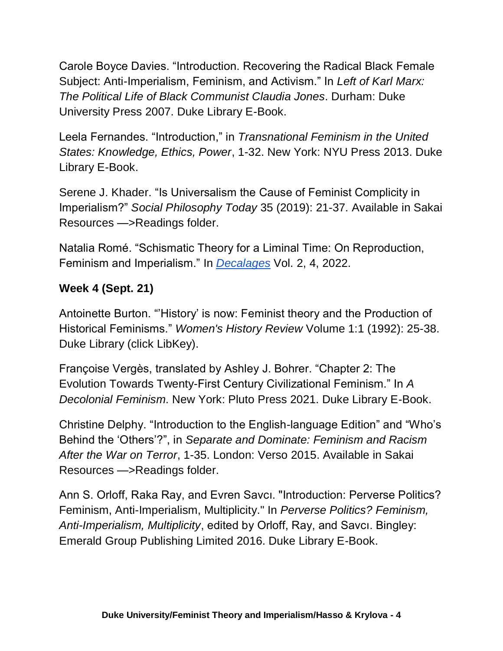Carole Boyce Davies. "Introduction. Recovering the Radical Black Female Subject: Anti-Imperialism, Feminism, and Activism." In *Left of Karl Marx: The Political Life of Black Communist Claudia Jones*. Durham: Duke University Press 2007. Duke Library E-Book.

Leela Fernandes. "Introduction," in *Transnational Feminism in the United States: Knowledge, Ethics, Power*, 1-32. New York: NYU Press 2013. Duke Library E-Book.

Serene J. Khader. "Is Universalism the Cause of Feminist Complicity in Imperialism?" *Social Philosophy Today* 35 (2019): 21-37. Available in Sakai Resources —>Readings folder.

Natalia Romé. "Schismatic Theory for a Liminal Time: On Reproduction, Feminism and Imperialism." In *[Decalages](https://oxy.primo.exlibrisgroup.com/discovery/delivery/01OCOL_INST:01OCOL/12144164630007016)* Vol. 2, 4, 2022.

## **Week 4 (Sept. 21)**

Antoinette Burton. "'History' is now: Feminist theory and the Production of Historical Feminisms." *Women's History Review* Volume 1:1 (1992): 25-38. Duke Library (click LibKey).

Françoise Vergès, translated by Ashley J. Bohrer. "Chapter 2: The Evolution Towards Twenty-First Century Civilizational Feminism." In *A Decolonial Feminism*. New York: Pluto Press 2021. Duke Library E-Book.

Christine Delphy. "Introduction to the English-language Edition" and "Who's Behind the 'Others'?", in *Separate and Dominate: Feminism and Racism After the War on Terror*, 1-35. London: Verso 2015. Available in Sakai Resources —>Readings folder.

Ann S. Orloff, Raka Ray, and Evren Savcı. "Introduction: Perverse Politics? Feminism, Anti-Imperialism, Multiplicity." In *Perverse Politics? Feminism, Anti-Imperialism, Multiplicity*, edited by Orloff, Ray, and Savcı. Bingley: Emerald Group Publishing Limited 2016. Duke Library E-Book.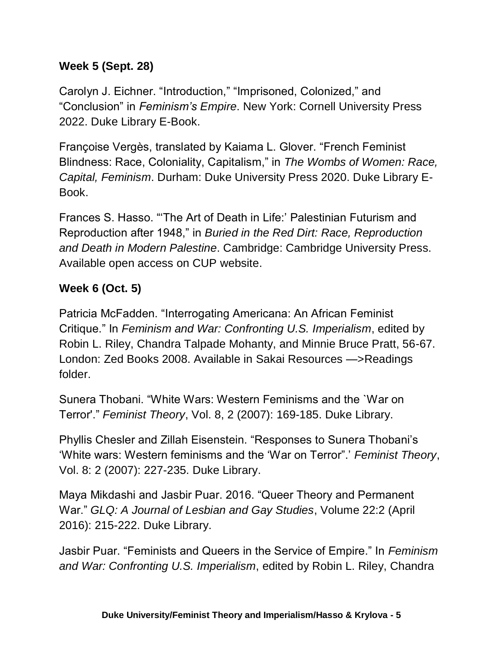## **Week 5 (Sept. 28)**

Carolyn J. Eichner. "Introduction," "Imprisoned, Colonized," and "Conclusion" in *Feminism's Empire*. New York: Cornell University Press 2022. Duke Library E-Book.

Françoise Vergès, translated by Kaiama L. Glover. "French Feminist Blindness: Race, Coloniality, Capitalism," in *The Wombs of Women: Race, Capital, Feminism*. Durham: Duke University Press 2020. Duke Library E-Book.

Frances S. Hasso. "'The Art of Death in Life:' Palestinian Futurism and Reproduction after 1948," in *Buried in the Red Dirt: Race, Reproduction and Death in Modern Palestine*. Cambridge: Cambridge University Press. Available open access on CUP website.

## **Week 6 (Oct. 5)**

Patricia McFadden. "Interrogating Americana: An African Feminist Critique." In *Feminism and War: Confronting U.S. Imperialism*, edited by Robin L. Riley, Chandra Talpade Mohanty, and Minnie Bruce Pratt, 56-67. London: Zed Books 2008. Available in Sakai Resources —>Readings folder.

Sunera Thobani. "White Wars: Western Feminisms and the `War on Terror'." *Feminist Theory*, Vol. 8, 2 (2007): 169-185. Duke Library.

Phyllis Chesler and Zillah Eisenstein. "Responses to Sunera Thobani's 'White wars: Western feminisms and the 'War on Terror".' *Feminist Theory*, Vol. 8: 2 (2007): 227-235. Duke Library.

Maya Mikdashi and Jasbir Puar. 2016. "Queer Theory and Permanent War." *GLQ: A Journal of Lesbian and Gay Studies*, Volume 22:2 (April 2016): 215-222. Duke Library.

Jasbir Puar. "Feminists and Queers in the Service of Empire." In *Feminism and War: Confronting U.S. Imperialism*, edited by Robin L. Riley, Chandra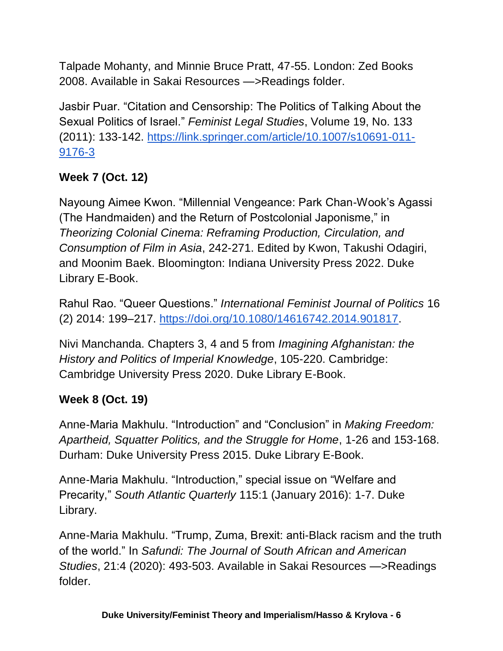Talpade Mohanty, and Minnie Bruce Pratt, 47-55. London: Zed Books 2008. Available in Sakai Resources —>Readings folder.

Jasbir Puar. "Citation and Censorship: The Politics of Talking About the Sexual Politics of Israel." *Feminist Legal Studies*, Volume 19, No. 133 (2011): 133-142. [https://link.springer.com/article/10.1007/s10691-011-](https://link.springer.com/article/10.1007/s10691-011-9176-3) [9176-3](https://link.springer.com/article/10.1007/s10691-011-9176-3)

# **Week 7 (Oct. 12)**

Nayoung Aimee Kwon. "Millennial Vengeance: Park Chan-Wook's Agassi (The Handmaiden) and the Return of Postcolonial Japonisme," in *Theorizing Colonial Cinema: Reframing Production, Circulation, and Consumption of Film in Asia*, 242-271. Edited by Kwon, Takushi Odagiri, and Moonim Baek. Bloomington: Indiana University Press 2022. Duke Library E-Book.

Rahul Rao. "Queer Questions." *International Feminist Journal of Politics* 16 (2) 2014: 199–217. [https://doi.org/10.1080/14616742.2014.901817.](https://doi.org/10.1080/14616742.2014.901817)

Nivi Manchanda. Chapters 3, 4 and 5 from *Imagining Afghanistan: the History and Politics of Imperial Knowledge*, 105-220. Cambridge: Cambridge University Press 2020. Duke Library E-Book.

# **Week 8 (Oct. 19)**

Anne-Maria Makhulu. "Introduction" and "Conclusion" in *Making Freedom: Apartheid, Squatter Politics, and the Struggle for Home*, 1-26 and 153-168. Durham: Duke University Press 2015. Duke Library E-Book.

Anne-Maria Makhulu. "Introduction," special issue on "Welfare and Precarity," *South Atlantic Quarterly* 115:1 (January 2016): 1-7. Duke Library.

Anne-Maria Makhulu. "Trump, Zuma, Brexit: anti-Black racism and the truth of the world." In *Safundi: The Journal of South African and American Studies*, 21:4 (2020): 493-503. Available in Sakai Resources —>Readings folder.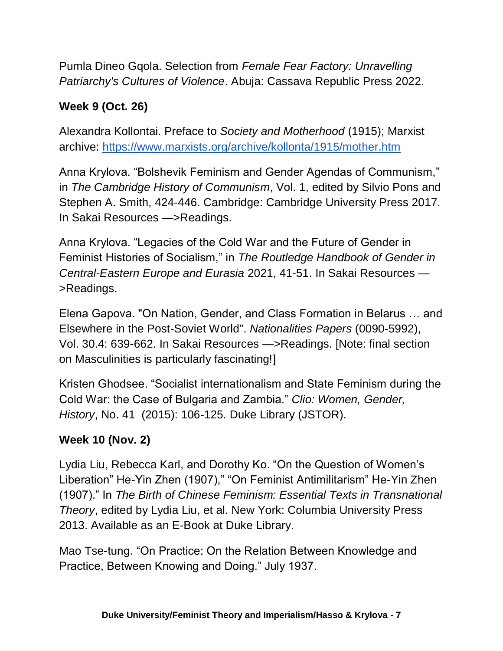Pumla Dineo Gqola. Selection from *Female Fear Factory: Unravelling Patriarchy's Cultures of Violence*. Abuja: Cassava Republic Press 2022.

## **Week 9 (Oct. 26)**

Alexandra Kollontai. Preface to *Society and Motherhood* (1915); Marxist archive:<https://www.marxists.org/archive/kollonta/1915/mother.htm>

Anna Krylova. "Bolshevik Feminism and Gender Agendas of Communism," in *The Cambridge History of Communism*, Vol. 1, edited by Silvio Pons and Stephen A. Smith, 424-446. Cambridge: Cambridge University Press 2017. In Sakai Resources —>Readings.

Anna Krylova. "Legacies of the Cold War and the Future of Gender in Feminist Histories of Socialism," in *The Routledge Handbook of Gender in Central-Eastern Europe and Eurasia* 2021, 41-51. In Sakai Resources — >Readings.

Elena Gapova. "On Nation, Gender, and Class Formation in Belarus … and Elsewhere in the Post-Soviet World". *Nationalities Papers* (0090-5992), Vol. 30.4: 639-662. In Sakai Resources —>Readings. [Note: final section on Masculinities is particularly fascinating!]

Kristen Ghodsee. "Socialist internationalism and State Feminism during the Cold War: the Case of Bulgaria and Zambia." *Clio: Women, Gender, History*, No. 41 (2015): 106-125. Duke Library (JSTOR).

#### **Week 10 (Nov. 2)**

Lydia Liu, Rebecca Karl, and Dorothy Ko. "On the Question of Women's Liberation" He-Yin Zhen (1907)," "On Feminist Antimilitarism" He-Yin Zhen (1907)." In *The Birth of Chinese Feminism: Essential Texts in Transnational Theory*, edited by Lydia Liu, et al. New York: Columbia University Press 2013. Available as an E-Book at Duke Library.

Mao Tse-tung. "On Practice: On the Relation Between Knowledge and Practice, Between Knowing and Doing." July 1937.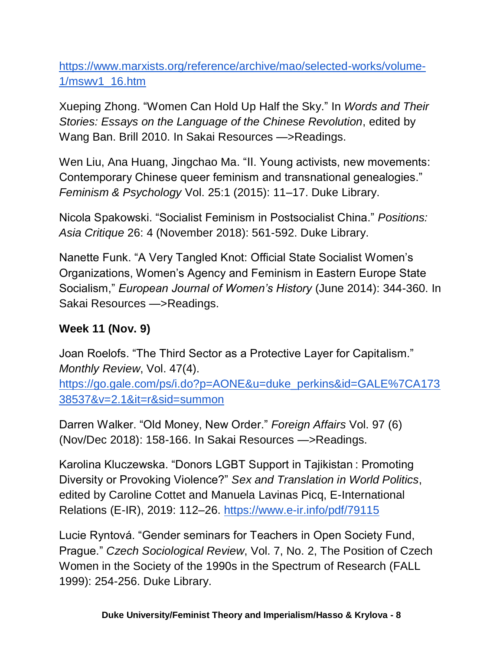[https://www.marxists.org/reference/archive/mao/selected-works/volume-](https://www.marxists.org/reference/archive/mao/selected-works/volume-1/mswv1_16.htm)[1/mswv1\\_16.htm](https://www.marxists.org/reference/archive/mao/selected-works/volume-1/mswv1_16.htm)

Xueping Zhong. "Women Can Hold Up Half the Sky." In *Words and Their Stories: Essays on the Language of the Chinese Revolution*, edited by Wang Ban. Brill 2010. In Sakai Resources —>Readings.

Wen Liu, Ana Huang, Jingchao Ma. "II. Young activists, new movements: Contemporary Chinese queer feminism and transnational genealogies." *Feminism & Psychology* Vol. 25:1 (2015): 11–17. Duke Library.

Nicola Spakowski. "Socialist Feminism in Postsocialist China." *Positions: Asia Critique* 26: 4 (November 2018): 561-592. Duke Library.

Nanette Funk. "A Very Tangled Knot: Official State Socialist Women's Organizations, Women's Agency and Feminism in Eastern Europe State Socialism," *European Journal of Women's History* (June 2014): 344-360. In Sakai Resources —>Readings.

## **Week 11 (Nov. 9)**

Joan Roelofs. "The Third Sector as a Protective Layer for Capitalism." *Monthly Review*, Vol. 47(4). [https://go.gale.com/ps/i.do?p=AONE&u=duke\\_perkins&id=GALE%7CA173](https://go.gale.com/ps/i.do?p=AONE&u=duke_perkins&id=GALE%7CA17338537&v=2.1&it=r&sid=summon) [38537&v=2.1&it=r&sid=summon](https://go.gale.com/ps/i.do?p=AONE&u=duke_perkins&id=GALE%7CA17338537&v=2.1&it=r&sid=summon)

Darren Walker. "Old Money, New Order." *Foreign Affairs* Vol. 97 (6) (Nov/Dec 2018): 158-166. In Sakai Resources —>Readings.

Karolina Kluczewska. "Donors LGBT Support in Tajikistan : Promoting Diversity or Provoking Violence?" *Sex and Translation in World Politics*, edited by Caroline Cottet and Manuela Lavinas Picq, E-International Relations (E-IR), 2019: 112–26.<https://www.e-ir.info/pdf/79115>

Lucie Ryntová. "Gender seminars for Teachers in Open Society Fund, Prague." *Czech Sociological Review*, Vol. 7, No. 2, The Position of Czech Women in the Society of the 1990s in the Spectrum of Research (FALL 1999): 254-256. Duke Library.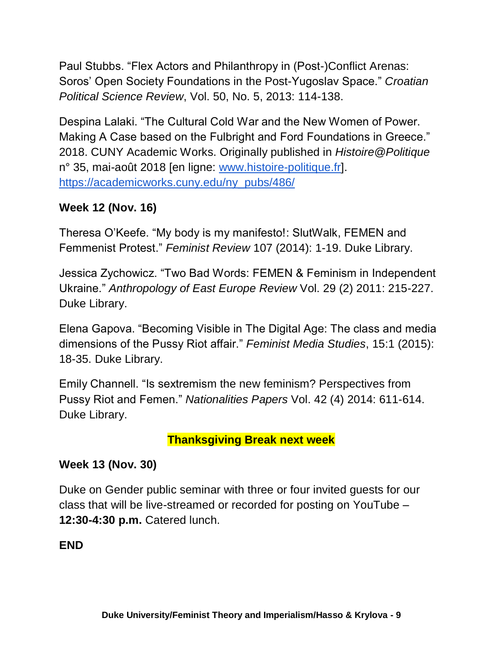Paul Stubbs. "Flex Actors and Philanthropy in (Post-)Conflict Arenas: Soros' Open Society Foundations in the Post-Yugoslav Space." *Croatian Political Science Review*, Vol. 50, No. 5, 2013: 114-138.

Despina Lalaki. "The Cultural Cold War and the New Women of Power. Making A Case based on the Fulbright and Ford Foundations in Greece." 2018. CUNY Academic Works. Originally published in *Histoire@Politique* n° 35, mai-août 2018 [en ligne: [www.histoire-politique.fr\]](http://www.histoire-politique.fr/). [https://academicworks.cuny.edu/ny\\_pubs/486/](https://academicworks.cuny.edu/ny_pubs/486/)

## **Week 12 (Nov. 16)**

Theresa O'Keefe. "My body is my manifesto!: SlutWalk, FEMEN and Femmenist Protest." *Feminist Review* 107 (2014): 1-19. Duke Library.

Jessica Zychowicz. "Two Bad Words: FEMEN & Feminism in Independent Ukraine." *Anthropology of East Europe Review* Vol. 29 (2) 2011: 215-227. Duke Library.

Elena Gapova. "Becoming Visible in The Digital Age: The class and media dimensions of the Pussy Riot affair." *Feminist Media Studies*, 15:1 (2015): 18-35. Duke Library.

Emily Channell. "Is sextremism the new feminism? Perspectives from Pussy Riot and Femen." *Nationalities Papers* Vol. 42 (4) 2014: 611-614. Duke Library.

#### **Thanksgiving Break next week**

#### **Week 13 (Nov. 30)**

Duke on Gender public seminar with three or four invited guests for our class that will be live-streamed or recorded for posting on YouTube – **12:30-4:30 p.m.** Catered lunch.

#### **END**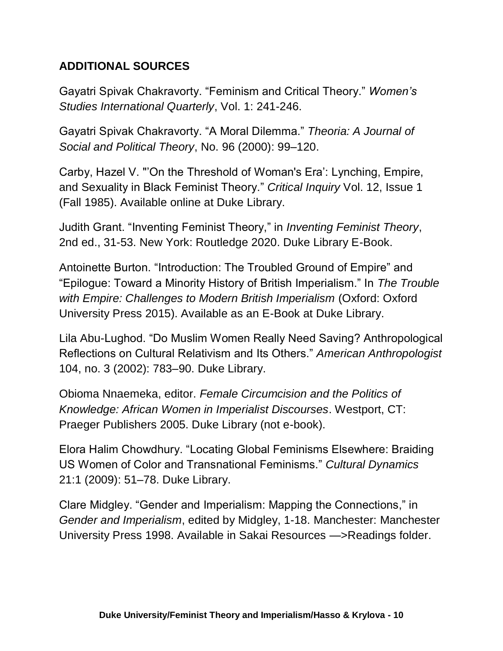## **ADDITIONAL SOURCES**

Gayatri Spivak Chakravorty. "Feminism and Critical Theory." *Women's Studies International Quarterly*, Vol. 1: 241-246.

Gayatri Spivak Chakravorty. "A Moral Dilemma." *Theoria: A Journal of Social and Political Theory*, No. 96 (2000): 99–120.

Carby, Hazel V. "'On the Threshold of Woman's Era': Lynching, Empire, and Sexuality in Black Feminist Theory." *Critical Inquiry* Vol. 12, Issue 1 (Fall 1985). Available online at Duke Library.

Judith Grant. "Inventing Feminist Theory," in *Inventing Feminist Theory*, 2nd ed., 31-53. New York: Routledge 2020. Duke Library E-Book.

Antoinette Burton. "Introduction: The Troubled Ground of Empire" and "Epilogue: Toward a Minority History of British Imperialism." In *The Trouble with Empire: Challenges to Modern British Imperialism* (Oxford: Oxford University Press 2015). Available as an E-Book at Duke Library.

Lila Abu-Lughod. "Do Muslim Women Really Need Saving? Anthropological Reflections on Cultural Relativism and Its Others." *American Anthropologist* 104, no. 3 (2002): 783–90. Duke Library.

Obioma Nnaemeka, editor. *Female Circumcision and the Politics of Knowledge: African Women in Imperialist Discourses*. Westport, CT: Praeger Publishers 2005. Duke Library (not e-book).

Elora Halim Chowdhury. "Locating Global Feminisms Elsewhere: Braiding US Women of Color and Transnational Feminisms." *Cultural Dynamics*  21:1 (2009): 51–78. Duke Library.

Clare Midgley. "Gender and Imperialism: Mapping the Connections," in *Gender and Imperialism*, edited by Midgley, 1-18. Manchester: Manchester University Press 1998. Available in Sakai Resources —>Readings folder.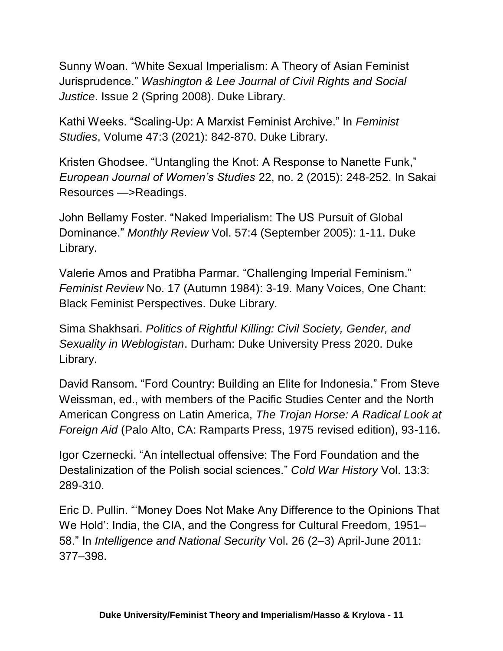Sunny Woan. "White Sexual Imperialism: A Theory of Asian Feminist Jurisprudence." *Washington & Lee Journal of Civil Rights and Social Justice*. Issue 2 (Spring 2008). Duke Library.

Kathi Weeks. "Scaling-Up: A Marxist Feminist Archive." In *Feminist Studies*, Volume 47:3 (2021): 842-870. Duke Library.

Kristen Ghodsee. "Untangling the Knot: A Response to Nanette Funk," *European Journal of Women's Studies* 22, no. 2 (2015): 248-252. In Sakai Resources —>Readings.

John Bellamy Foster. "Naked Imperialism: The US Pursuit of Global Dominance." *Monthly Review* Vol. 57:4 (September 2005): 1-11. Duke Library.

Valerie Amos and Pratibha Parmar. "Challenging Imperial Feminism." *Feminist Review* No. 17 (Autumn 1984): 3-19. Many Voices, One Chant: Black Feminist Perspectives. Duke Library.

Sima Shakhsari. *Politics of Rightful Killing: Civil Society, Gender, and Sexuality in Weblogistan*. Durham: Duke University Press 2020. Duke Library.

David Ransom. "Ford Country: Building an Elite for Indonesia." From Steve Weissman, ed., with members of the Pacific Studies Center and the North American Congress on Latin America, *The Trojan Horse: A Radical Look at Foreign Aid* (Palo Alto, CA: Ramparts Press, 1975 revised edition), 93-116.

Igor Czernecki. "An intellectual offensive: The Ford Foundation and the Destalinization of the Polish social sciences." *Cold War History* Vol. 13:3: 289-310.

Eric D. Pullin. "'Money Does Not Make Any Difference to the Opinions That We Hold': India, the CIA, and the Congress for Cultural Freedom, 1951– 58." In *Intelligence and National Security* Vol. 26 (2–3) April-June 2011: 377–398.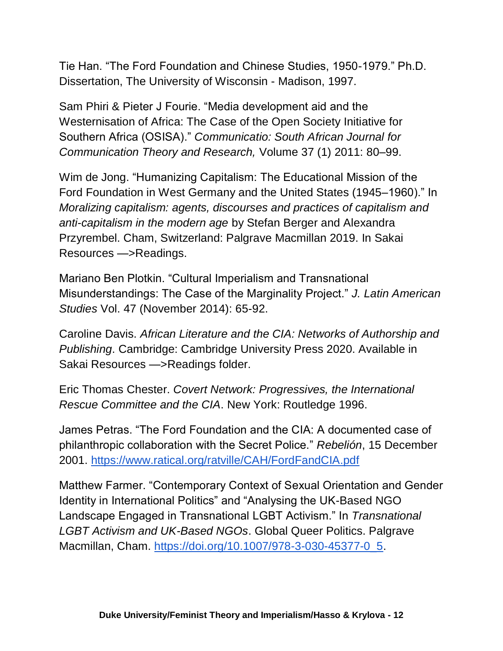Tie Han. "The Ford Foundation and Chinese Studies, 1950-1979." Ph.D. Dissertation, The University of Wisconsin - Madison, 1997.

Sam Phiri & Pieter J Fourie. "Media development aid and the Westernisation of Africa: The Case of the Open Society Initiative for Southern Africa (OSISA)." *Communicatio: South African Journal for Communication Theory and Research,* Volume 37 (1) 2011: 80–99.

Wim de Jong. "Humanizing Capitalism: The Educational Mission of the Ford Foundation in West Germany and the United States (1945–1960)." In *Moralizing capitalism: agents, discourses and practices of capitalism and anti-capitalism in the modern age* by Stefan Berger and Alexandra Przyrembel. Cham, Switzerland: Palgrave Macmillan 2019. In Sakai Resources —>Readings.

Mariano Ben Plotkin. "Cultural Imperialism and Transnational Misunderstandings: The Case of the Marginality Project." *J. Latin American Studies* Vol. 47 (November 2014): 65-92.

Caroline Davis. *African Literature and the CIA: Networks of Authorship and Publishing*. Cambridge: Cambridge University Press 2020. Available in Sakai Resources —>Readings folder.

Eric Thomas Chester. *Covert Network: Progressives, the International Rescue Committee and the CIA*. New York: Routledge 1996.

James Petras. "The Ford Foundation and the CIA: A documented case of philanthropic collaboration with the Secret Police." *Rebelión*, 15 December 2001.<https://www.ratical.org/ratville/CAH/FordFandCIA.pdf>

Matthew Farmer. "Contemporary Context of Sexual Orientation and Gender Identity in International Politics" and "Analysing the UK-Based NGO Landscape Engaged in Transnational LGBT Activism." In *Transnational LGBT Activism and UK-Based NGOs*. Global Queer Politics. Palgrave Macmillan, Cham. [https://doi.org/10.1007/978-3-030-45377-0\\_5.](https://doi.org/10.1007/978-3-030-45377-0_5)